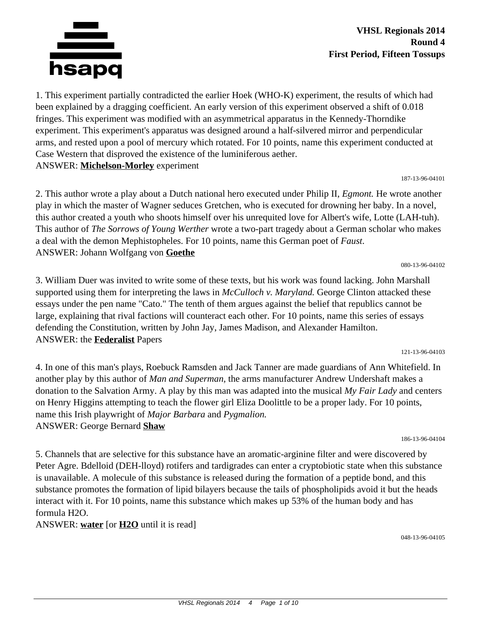

1. This experiment partially contradicted the earlier Hoek (WHO-K) experiment, the results of which had been explained by a dragging coefficient. An early version of this experiment observed a shift of 0.018 fringes. This experiment was modified with an asymmetrical apparatus in the Kennedy-Thorndike experiment. This experiment's apparatus was designed around a half-silvered mirror and perpendicular arms, and rested upon a pool of mercury which rotated. For 10 points, name this experiment conducted at Case Western that disproved the existence of the luminiferous aether. ANSWER: **Michelson-Morley** experiment

187-13-96-04101

2. This author wrote a play about a Dutch national hero executed under Philip II, *Egmont.* He wrote another play in which the master of Wagner seduces Gretchen, who is executed for drowning her baby. In a novel, this author created a youth who shoots himself over his unrequited love for Albert's wife, Lotte (LAH-tuh). This author of *The Sorrows of Young Werther* wrote a two-part tragedy about a German scholar who makes a deal with the demon Mephistopheles. For 10 points, name this German poet of *Faust*. ANSWER: Johann Wolfgang von **Goethe**

080-13-96-04102

3. William Duer was invited to write some of these texts, but his work was found lacking. John Marshall supported using them for interpreting the laws in *McCulloch v. Maryland.* George Clinton attacked these essays under the pen name "Cato." The tenth of them argues against the belief that republics cannot be large, explaining that rival factions will counteract each other. For 10 points, name this series of essays defending the Constitution, written by John Jay, James Madison, and Alexander Hamilton. ANSWER: the **Federalist** Papers

121-13-96-04103

4. In one of this man's plays, Roebuck Ramsden and Jack Tanner are made guardians of Ann Whitefield. In another play by this author of *Man and Superman,* the arms manufacturer Andrew Undershaft makes a donation to the Salvation Army. A play by this man was adapted into the musical *My Fair Lady* and centers on Henry Higgins attempting to teach the flower girl Eliza Doolittle to be a proper lady. For 10 points, name this Irish playwright of *Major Barbara* and *Pygmalion.* ANSWER: George Bernard **Shaw**

186-13-96-04104

5. Channels that are selective for this substance have an aromatic-arginine filter and were discovered by Peter Agre. Bdelloid (DEH-lloyd) rotifers and tardigrades can enter a cryptobiotic state when this substance is unavailable. A molecule of this substance is released during the formation of a peptide bond, and this substance promotes the formation of lipid bilayers because the tails of phospholipids avoid it but the heads interact with it. For 10 points, name this substance which makes up 53% of the human body and has formula H2O.

ANSWER: **water** [or **H2O** until it is read]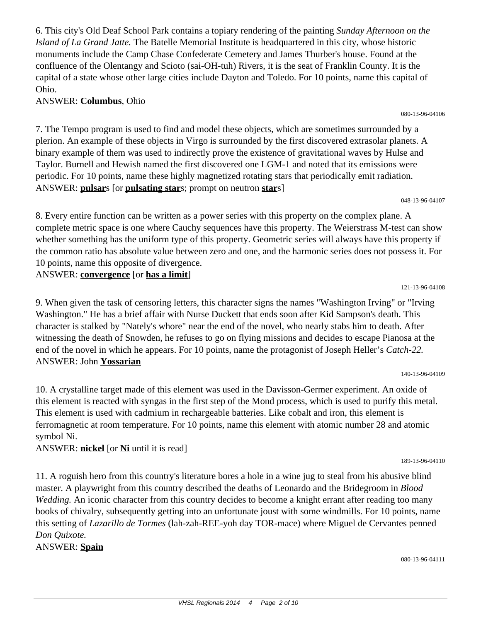6. This city's Old Deaf School Park contains a topiary rendering of the painting *Sunday Afternoon on the Island of La Grand Jatte.* The Batelle Memorial Institute is headquartered in this city, whose historic monuments include the Camp Chase Confederate Cemetery and James Thurber's house. Found at the confluence of the Olentangy and Scioto (sai-OH-tuh) Rivers, it is the seat of Franklin County. It is the capital of a state whose other large cities include Dayton and Toledo. For 10 points, name this capital of Ohio.

# ANSWER: **Columbus**, Ohio

7. The Tempo program is used to find and model these objects, which are sometimes surrounded by a plerion. An example of these objects in Virgo is surrounded by the first discovered extrasolar planets. A binary example of them was used to indirectly prove the existence of gravitational waves by Hulse and Taylor. Burnell and Hewish named the first discovered one LGM-1 and noted that its emissions were periodic. For 10 points, name these highly magnetized rotating stars that periodically emit radiation. ANSWER: **pulsar**s [or **pulsating star**s; prompt on neutron **star**s]

048-13-96-04107

8. Every entire function can be written as a power series with this property on the complex plane. A complete metric space is one where Cauchy sequences have this property. The Weierstrass M-test can show whether something has the uniform type of this property. Geometric series will always have this property if the common ratio has absolute value between zero and one, and the harmonic series does not possess it. For 10 points, name this opposite of divergence. ANSWER: **convergence** [or **has a limit**]

121-13-96-04108

9. When given the task of censoring letters, this character signs the names "Washington Irving" or "Irving Washington." He has a brief affair with Nurse Duckett that ends soon after Kid Sampson's death. This character is stalked by "Nately's whore" near the end of the novel, who nearly stabs him to death. After witnessing the death of Snowden, he refuses to go on flying missions and decides to escape Pianosa at the end of the novel in which he appears. For 10 points, name the protagonist of Joseph Heller's *Catch-22.* ANSWER: John **Yossarian**

140-13-96-04109

10. A crystalline target made of this element was used in the Davisson-Germer experiment. An oxide of this element is reacted with syngas in the first step of the Mond process, which is used to purify this metal. This element is used with cadmium in rechargeable batteries. Like cobalt and iron, this element is ferromagnetic at room temperature. For 10 points, name this element with atomic number 28 and atomic symbol Ni.

ANSWER: **nickel** [or **Ni** until it is read]

11. A roguish hero from this country's literature bores a hole in a wine jug to steal from his abusive blind master. A playwright from this country described the deaths of Leonardo and the Bridegroom in *Blood Wedding.* An iconic character from this country decides to become a knight errant after reading too many books of chivalry, subsequently getting into an unfortunate joust with some windmills. For 10 points, name this setting of *Lazarillo de Tormes* (lah-zah-REE-yoh day TOR-mace) where Miguel de Cervantes penned *Don Quixote.*

ANSWER: **Spain**

189-13-96-04110

080-13-96-04111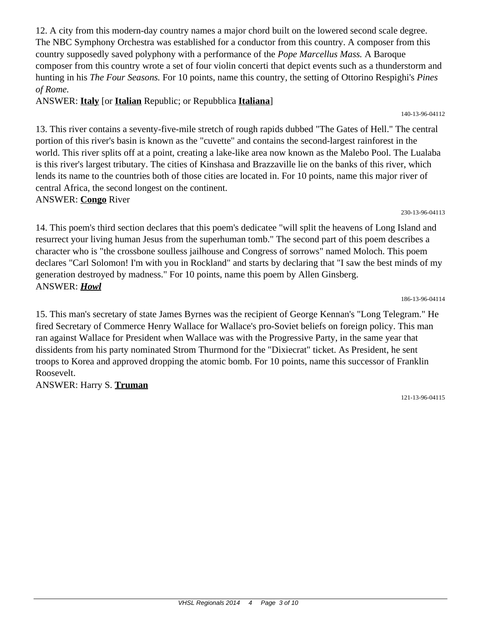12. A city from this modern-day country names a major chord built on the lowered second scale degree. The NBC Symphony Orchestra was established for a conductor from this country. A composer from this country supposedly saved polyphony with a performance of the *Pope Marcellus Mass.* A Baroque composer from this country wrote a set of four violin concerti that depict events such as a thunderstorm and hunting in his *The Four Seasons.* For 10 points, name this country, the setting of Ottorino Respighi's *Pines of Rome.*

ANSWER: **Italy** [or **Italian** Republic; or Repubblica **Italiana**]

13. This river contains a seventy-five-mile stretch of rough rapids dubbed "The Gates of Hell." The central portion of this river's basin is known as the "cuvette" and contains the second-largest rainforest in the world. This river splits off at a point, creating a lake-like area now known as the Malebo Pool. The Lualaba is this river's largest tributary. The cities of Kinshasa and Brazzaville lie on the banks of this river, which lends its name to the countries both of those cities are located in. For 10 points, name this major river of central Africa, the second longest on the continent.

# ANSWER: **Congo** River

14. This poem's third section declares that this poem's dedicatee "will split the heavens of Long Island and resurrect your living human Jesus from the superhuman tomb." The second part of this poem describes a character who is "the crossbone soulless jailhouse and Congress of sorrows" named Moloch. This poem declares "Carl Solomon! I'm with you in Rockland" and starts by declaring that "I saw the best minds of my generation destroyed by madness." For 10 points, name this poem by Allen Ginsberg. ANSWER: *Howl*

186-13-96-04114

15. This man's secretary of state James Byrnes was the recipient of George Kennan's "Long Telegram." He fired Secretary of Commerce Henry Wallace for Wallace's pro-Soviet beliefs on foreign policy. This man ran against Wallace for President when Wallace was with the Progressive Party, in the same year that dissidents from his party nominated Strom Thurmond for the "Dixiecrat" ticket. As President, he sent troops to Korea and approved dropping the atomic bomb. For 10 points, name this successor of Franklin Roosevelt.

ANSWER: Harry S. **Truman**

121-13-96-04115

140-13-96-04112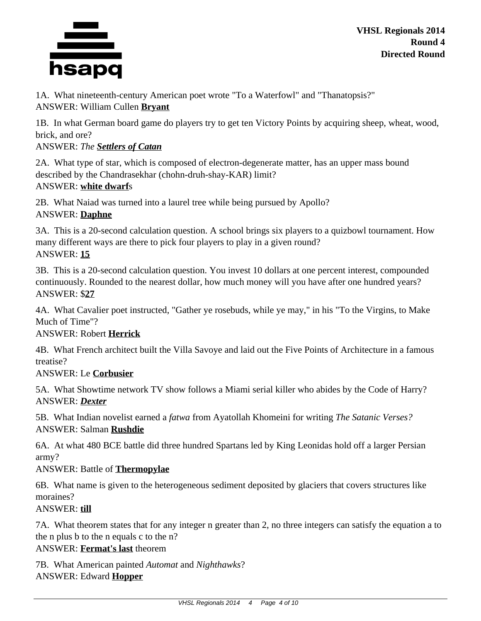

1A. What nineteenth-century American poet wrote "To a Waterfowl" and "Thanatopsis?" ANSWER: William Cullen **Bryant**

1B. In what German board game do players try to get ten Victory Points by acquiring sheep, wheat, wood, brick, and ore?

ANSWER: *The Settlers of Catan*

2A. What type of star, which is composed of electron-degenerate matter, has an upper mass bound described by the Chandrasekhar (chohn-druh-shay-KAR) limit? ANSWER: **white dwarf**s

2B. What Naiad was turned into a laurel tree while being pursued by Apollo? ANSWER: **Daphne**

3A. This is a 20-second calculation question. A school brings six players to a quizbowl tournament. How many different ways are there to pick four players to play in a given round? ANSWER: **15**

3B. This is a 20-second calculation question. You invest 10 dollars at one percent interest, compounded continuously. Rounded to the nearest dollar, how much money will you have after one hundred years? ANSWER: \$**27**

4A. What Cavalier poet instructed, "Gather ye rosebuds, while ye may," in his "To the Virgins, to Make Much of Time"?

# ANSWER: Robert **Herrick**

4B. What French architect built the Villa Savoye and laid out the Five Points of Architecture in a famous treatise?

# ANSWER: Le **Corbusier**

5A. What Showtime network TV show follows a Miami serial killer who abides by the Code of Harry? ANSWER: *Dexter*

5B. What Indian novelist earned a *fatwa* from Ayatollah Khomeini for writing *The Satanic Verses?* ANSWER: Salman **Rushdie**

6A. At what 480 BCE battle did three hundred Spartans led by King Leonidas hold off a larger Persian army?

# ANSWER: Battle of **Thermopylae**

6B. What name is given to the heterogeneous sediment deposited by glaciers that covers structures like moraines?

ANSWER: **till**

7A. What theorem states that for any integer n greater than 2, no three integers can satisfy the equation a to the n plus b to the n equals c to the n?

ANSWER: **Fermat's last** theorem

7B. What American painted *Automat* and *Nighthawks*? ANSWER: Edward **Hopper**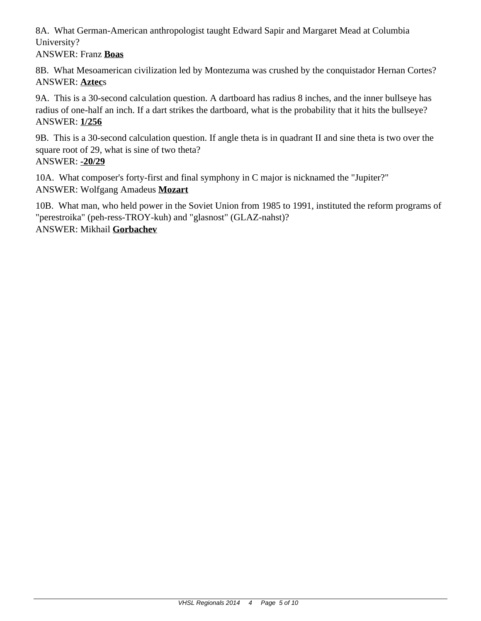8A. What German-American anthropologist taught Edward Sapir and Margaret Mead at Columbia University?

ANSWER: Franz **Boas**

8B. What Mesoamerican civilization led by Montezuma was crushed by the conquistador Hernan Cortes? ANSWER: **Aztec**s

9A. This is a 30-second calculation question. A dartboard has radius 8 inches, and the inner bullseye has radius of one-half an inch. If a dart strikes the dartboard, what is the probability that it hits the bullseye? ANSWER: **1/256**

9B. This is a 30-second calculation question. If angle theta is in quadrant II and sine theta is two over the square root of 29, what is sine of two theta? ANSWER: **-20/29**

10A. What composer's forty-first and final symphony in C major is nicknamed the "Jupiter?" ANSWER: Wolfgang Amadeus **Mozart**

10B. What man, who held power in the Soviet Union from 1985 to 1991, instituted the reform programs of "perestroika" (peh-ress-TROY-kuh) and "glasnost" (GLAZ-nahst)? ANSWER: Mikhail **Gorbachev**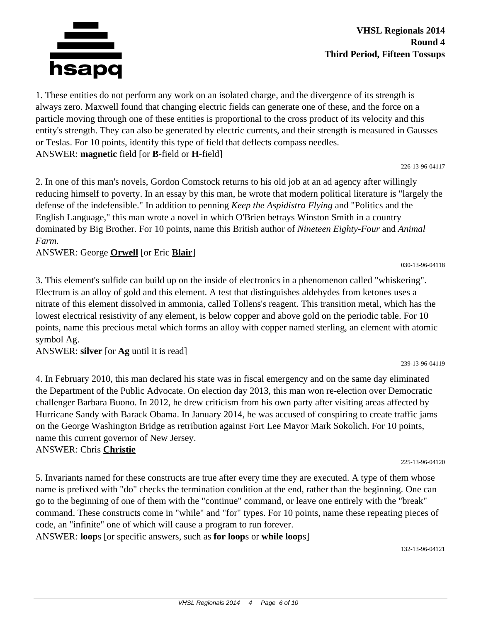

1. These entities do not perform any work on an isolated charge, and the divergence of its strength is always zero. Maxwell found that changing electric fields can generate one of these, and the force on a particle moving through one of these entities is proportional to the cross product of its velocity and this entity's strength. They can also be generated by electric currents, and their strength is measured in Gausses or Teslas. For 10 points, identify this type of field that deflects compass needles. ANSWER: **magnetic** field [or **B**-field or **H**-field]

226-13-96-04117

2. In one of this man's novels, Gordon Comstock returns to his old job at an ad agency after willingly reducing himself to poverty. In an essay by this man, he wrote that modern political literature is "largely the defense of the indefensible." In addition to penning *Keep the Aspidistra Flying* and "Politics and the English Language," this man wrote a novel in which O'Brien betrays Winston Smith in a country dominated by Big Brother. For 10 points, name this British author of *Nineteen Eighty-Four* and *Animal Farm.*

ANSWER: George **Orwell** [or Eric **Blair**]

030-13-96-04118

239-13-96-04119

3. This element's sulfide can build up on the inside of electronics in a phenomenon called "whiskering". Electrum is an alloy of gold and this element. A test that distinguishes aldehydes from ketones uses a nitrate of this element dissolved in ammonia, called Tollens's reagent. This transition metal, which has the lowest electrical resistivity of any element, is below copper and above gold on the periodic table. For 10 points, name this precious metal which forms an alloy with copper named sterling, an element with atomic symbol Ag.

ANSWER: **silver** [or **Ag** until it is read]

4. In February 2010, this man declared his state was in fiscal emergency and on the same day eliminated the Department of the Public Advocate. On election day 2013, this man won re-election over Democratic challenger Barbara Buono. In 2012, he drew criticism from his own party after visiting areas affected by Hurricane Sandy with Barack Obama. In January 2014, he was accused of conspiring to create traffic jams on the George Washington Bridge as retribution against Fort Lee Mayor Mark Sokolich. For 10 points, name this current governor of New Jersey.

ANSWER: Chris **Christie**

5. Invariants named for these constructs are true after every time they are executed. A type of them whose name is prefixed with "do" checks the termination condition at the end, rather than the beginning. One can go to the beginning of one of them with the "continue" command, or leave one entirely with the "break" command. These constructs come in "while" and "for" types. For 10 points, name these repeating pieces of code, an "infinite" one of which will cause a program to run forever.

ANSWER: **loop**s [or specific answers, such as **for loop**s or **while loop**s]

132-13-96-04121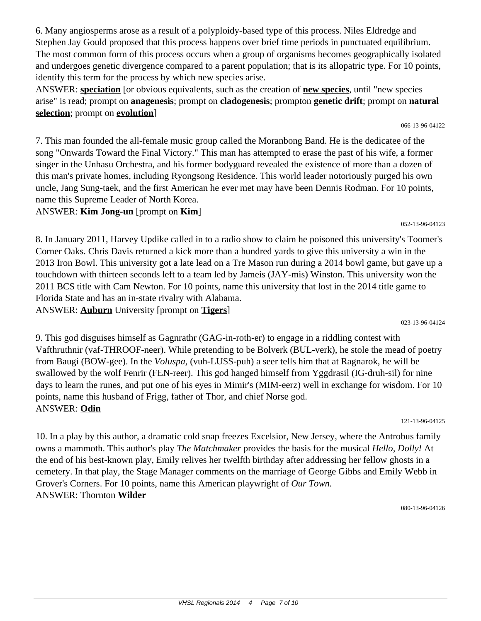6. Many angiosperms arose as a result of a polyploidy-based type of this process. Niles Eldredge and Stephen Jay Gould proposed that this process happens over brief time periods in punctuated equilibrium. The most common form of this process occurs when a group of organisms becomes geographically isolated and undergoes genetic divergence compared to a parent population; that is its allopatric type. For 10 points, identify this term for the process by which new species arise.

ANSWER: **speciation** [or obvious equivalents, such as the creation of **new species**, until "new species arise" is read; prompt on **anagenesis**; prompt on **cladogenesis**; prompton **genetic drift**; prompt on **natural selection**; prompt on **evolution**]

7. This man founded the all-female music group called the Moranbong Band. He is the dedicatee of the song "Onwards Toward the Final Victory." This man has attempted to erase the past of his wife, a former singer in the Unhasu Orchestra, and his former bodyguard revealed the existence of more than a dozen of this man's private homes, including Ryongsong Residence. This world leader notoriously purged his own uncle, Jang Sung-taek, and the first American he ever met may have been Dennis Rodman. For 10 points, name this Supreme Leader of North Korea.

## ANSWER: **Kim Jong-un** [prompt on **Kim**]

8. In January 2011, Harvey Updike called in to a radio show to claim he poisoned this university's Toomer's Corner Oaks. Chris Davis returned a kick more than a hundred yards to give this university a win in the 2013 Iron Bowl. This university got a late lead on a Tre Mason run during a 2014 bowl game, but gave up a touchdown with thirteen seconds left to a team led by Jameis (JAY-mis) Winston. This university won the 2011 BCS title with Cam Newton. For 10 points, name this university that lost in the 2014 title game to Florida State and has an in-state rivalry with Alabama. ANSWER: **Auburn** University [prompt on **Tigers**]

023-13-96-04124

9. This god disguises himself as Gagnrathr (GAG-in-roth-er) to engage in a riddling contest with Vafthruthnir (vaf-THROOF-neer). While pretending to be Bolverk (BUL-verk), he stole the mead of poetry from Baugi (BOW-gee). In the *Voluspa,* (vuh-LUSS-puh) a seer tells him that at Ragnarok, he will be swallowed by the wolf Fenrir (FEN-reer). This god hanged himself from Yggdrasil (IG-druh-sil) for nine days to learn the runes, and put one of his eyes in Mimir's (MIM-eerz) well in exchange for wisdom. For 10 points, name this husband of Frigg, father of Thor, and chief Norse god. ANSWER: **Odin**

121-13-96-04125

10. In a play by this author, a dramatic cold snap freezes Excelsior, New Jersey, where the Antrobus family owns a mammoth. This author's play *The Matchmaker* provides the basis for the musical *Hello, Dolly!* At the end of his best-known play, Emily relives her twelfth birthday after addressing her fellow ghosts in a cemetery. In that play, the Stage Manager comments on the marriage of George Gibbs and Emily Webb in Grover's Corners. For 10 points, name this American playwright of *Our Town.* ANSWER: Thornton **Wilder**

080-13-96-04126

052-13-96-04123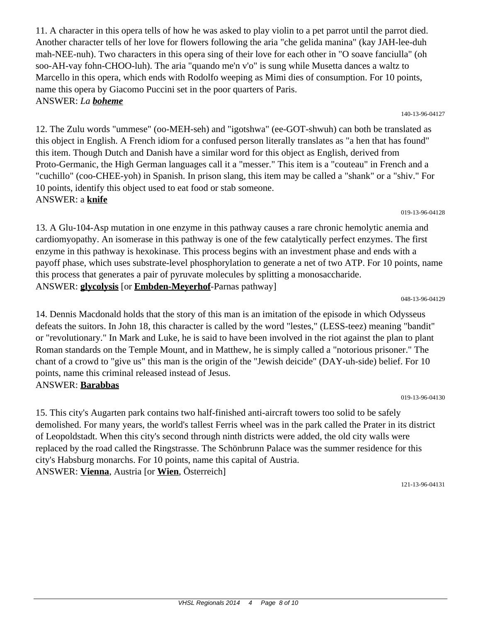11. A character in this opera tells of how he was asked to play violin to a pet parrot until the parrot died. Another character tells of her love for flowers following the aria "che gelida manina" (kay JAH-lee-duh mah-NEE-nuh). Two characters in this opera sing of their love for each other in "O soave fanciulla" (oh soo-AH-vay fohn-CHOO-luh). The aria "quando me'n v'o" is sung while Musetta dances a waltz to Marcello in this opera, which ends with Rodolfo weeping as Mimi dies of consumption. For 10 points, name this opera by Giacomo Puccini set in the poor quarters of Paris. ANSWER: *La boheme*

12. The Zulu words "ummese" (oo-MEH-seh) and "igotshwa" (ee-GOT-shwuh) can both be translated as this object in English. A French idiom for a confused person literally translates as "a hen that has found" this item. Though Dutch and Danish have a similar word for this object as English, derived from Proto-Germanic, the High German languages call it a "messer." This item is a "couteau" in French and a "cuchillo" (coo-CHEE-yoh) in Spanish. In prison slang, this item may be called a "shank" or a "shiv." For 10 points, identify this object used to eat food or stab someone. ANSWER: a **knife**

13. A Glu-104-Asp mutation in one enzyme in this pathway causes a rare chronic hemolytic anemia and cardiomyopathy. An isomerase in this pathway is one of the few catalytically perfect enzymes. The first enzyme in this pathway is hexokinase. This process begins with an investment phase and ends with a payoff phase, which uses substrate-level phosphorylation to generate a net of two ATP. For 10 points, name this process that generates a pair of pyruvate molecules by splitting a monosaccharide. ANSWER: **glycolysis** [or **Embden-Meyerhof**-Parnas pathway]

048-13-96-04129

019-13-96-04128

14. Dennis Macdonald holds that the story of this man is an imitation of the episode in which Odysseus defeats the suitors. In John 18, this character is called by the word "lestes," (LESS-teez) meaning "bandit" or "revolutionary." In Mark and Luke, he is said to have been involved in the riot against the plan to plant Roman standards on the Temple Mount, and in Matthew, he is simply called a "notorious prisoner." The chant of a crowd to "give us" this man is the origin of the "Jewish deicide" (DAY-uh-side) belief. For 10 points, name this criminal released instead of Jesus.

# ANSWER: **Barabbas**

15. This city's Augarten park contains two half-finished anti-aircraft towers too solid to be safely demolished. For many years, the world's tallest Ferris wheel was in the park called the Prater in its district of Leopoldstadt. When this city's second through ninth districts were added, the old city walls were replaced by the road called the Ringstrasse. The Schönbrunn Palace was the summer residence for this city's Habsburg monarchs. For 10 points, name this capital of Austria. ANSWER: **Vienna**, Austria [or **Wien**, Österreich]

121-13-96-04131

019-13-96-04130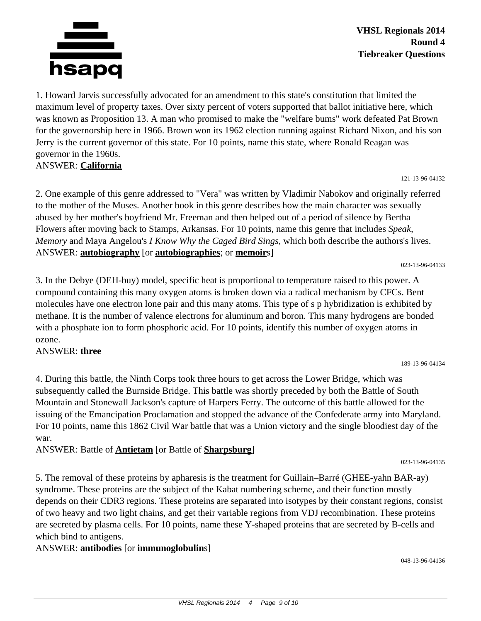

1. Howard Jarvis successfully advocated for an amendment to this state's constitution that limited the maximum level of property taxes. Over sixty percent of voters supported that ballot initiative here, which was known as Proposition 13. A man who promised to make the "welfare bums" work defeated Pat Brown for the governorship here in 1966. Brown won its 1962 election running against Richard Nixon, and his son Jerry is the current governor of this state. For 10 points, name this state, where Ronald Reagan was governor in the 1960s.

ANSWER: **California**

2. One example of this genre addressed to "Vera" was written by Vladimir Nabokov and originally referred to the mother of the Muses. Another book in this genre describes how the main character was sexually abused by her mother's boyfriend Mr. Freeman and then helped out of a period of silence by Bertha Flowers after moving back to Stamps, Arkansas. For 10 points, name this genre that includes *Speak, Memory* and Maya Angelou's *I Know Why the Caged Bird Sings,* which both describe the authors's lives. ANSWER: **autobiography** [or **autobiographies**; or **memoir**s]

023-13-96-04133

121-13-96-04132

3. In the Debye (DEH-buy) model, specific heat is proportional to temperature raised to this power. A compound containing this many oxygen atoms is broken down via a radical mechanism by CFCs. Bent molecules have one electron lone pair and this many atoms. This type of s p hybridization is exhibited by methane. It is the number of valence electrons for aluminum and boron. This many hydrogens are bonded with a phosphate ion to form phosphoric acid. For 10 points, identify this number of oxygen atoms in ozone.

### ANSWER: **three**

4. During this battle, the Ninth Corps took three hours to get across the Lower Bridge, which was subsequently called the Burnside Bridge. This battle was shortly preceded by both the Battle of South Mountain and Stonewall Jackson's capture of Harpers Ferry. The outcome of this battle allowed for the issuing of the Emancipation Proclamation and stopped the advance of the Confederate army into Maryland. For 10 points, name this 1862 Civil War battle that was a Union victory and the single bloodiest day of the war.

ANSWER: Battle of **Antietam** [or Battle of **Sharpsburg**]

023-13-96-04135

189-13-96-04134

5. The removal of these proteins by apharesis is the treatment for Guillain–Barré (GHEE-yahn BAR-ay) syndrome. These proteins are the subject of the Kabat numbering scheme, and their function mostly depends on their CDR3 regions. These proteins are separated into isotypes by their constant regions, consist of two heavy and two light chains, and get their variable regions from VDJ recombination. These proteins are secreted by plasma cells. For 10 points, name these Y-shaped proteins that are secreted by B-cells and which bind to antigens.

# ANSWER: **antibodies** [or **immunoglobulin**s]